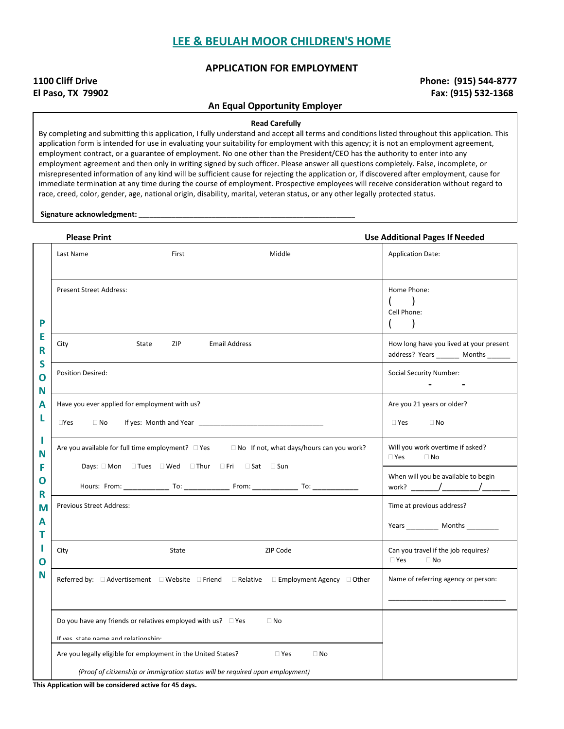#### **APPLICATION FOR EMPLOYMENT**

## **1100 Cliff Drive Phone: (915) 544-8777 El Paso, TX 79902 Fax: (915) 532-1368**

## **An Equal Opportunity Employer**

**Read Carefully**

By completing and submitting this application, I fully understand and accept all terms and conditions listed throughout this application. This application form is intended for use in evaluating your suitability for employment with this agency; it is not an employment agreement, employment contract, or a guarantee of employment. No one other than the President/CEO has the authority to enter into any employment agreement and then only in writing signed by such officer. Please answer all questions completely. False, incomplete, or misrepresented information of any kind will be sufficient cause for rejecting the application or, if discovered after employment, cause for immediate termination at any time during the course of employment. Prospective employees will receive consideration without regard to race, creed, color, gender, age, national origin, disability, marital, veteran status, or any other legally protected status.

**Signature acknowledgment: \_\_\_\_\_\_\_\_\_\_\_\_\_\_\_\_\_\_\_\_\_\_\_\_\_\_\_\_\_\_\_\_\_\_\_\_\_\_\_\_\_\_\_\_\_\_\_\_\_\_\_\_\_\_\_\_\_\_\_**

|                                 | <b>Please Print</b>                                                                                                                                               |                                                                                                                                                |                                                                                        | <b>Use Additional Pages If Needed</b>                                             |
|---------------------------------|-------------------------------------------------------------------------------------------------------------------------------------------------------------------|------------------------------------------------------------------------------------------------------------------------------------------------|----------------------------------------------------------------------------------------|-----------------------------------------------------------------------------------|
|                                 | Last Name                                                                                                                                                         | First                                                                                                                                          | Middle                                                                                 | <b>Application Date:</b>                                                          |
| P                               | <b>Present Street Address:</b>                                                                                                                                    |                                                                                                                                                |                                                                                        | Home Phone:<br>Cell Phone:                                                        |
| E<br>R                          | City                                                                                                                                                              | State<br>ZIP                                                                                                                                   | <b>Email Address</b>                                                                   | How long have you lived at your present<br>address? Years ________ Months _______ |
| S<br>$\overline{O}$<br>N        | Position Desired:                                                                                                                                                 |                                                                                                                                                |                                                                                        | Social Security Number:<br>$\blacksquare$                                         |
| А<br>L                          | $\square$ Yes<br>$\Box$ No                                                                                                                                        | Have you ever applied for employment with us?                                                                                                  | Are you 21 years or older?<br>$\Box$ Yes<br>$\Box$ No                                  |                                                                                   |
| N<br>F<br>O<br>R<br>M<br>А<br>т | Are you available for full time employment? $\square$ Yes $\square$ No If not, what days/hours can you work?<br>Days: □ Mon □ Tues □ Wed □ Thur □ Fri □ Sat □ Sun |                                                                                                                                                |                                                                                        | Will you work overtime if asked?<br>$\Box$ Yes<br>$\Box$ No                       |
|                                 |                                                                                                                                                                   |                                                                                                                                                |                                                                                        | When will you be available to begin                                               |
|                                 | Previous Street Address:                                                                                                                                          |                                                                                                                                                |                                                                                        | Time at previous address?<br>Years _____________ Months ___________               |
| L<br>O                          | City                                                                                                                                                              | State                                                                                                                                          | ZIP Code                                                                               | Can you travel if the job requires?<br>$\Box$ Yes<br>$\Box$ No                    |
| N                               |                                                                                                                                                                   |                                                                                                                                                | Referred by: □ Advertisement □ Website □ Friend □ Relative □ Employment Agency □ Other | Name of referring agency or person:                                               |
|                                 | Do you have any friends or relatives employed with us? $\Box$ Yes<br>$\Box$ No<br>If ves state name and relationshin-                                             |                                                                                                                                                |                                                                                        |                                                                                   |
|                                 |                                                                                                                                                                   | Are you legally eligible for employment in the United States?<br>(Proof of citizenship or immigration status will be required upon employment) | $\Box$ Yes<br>$\Box$ No                                                                |                                                                                   |

**This Application will be considered active for 45 days.**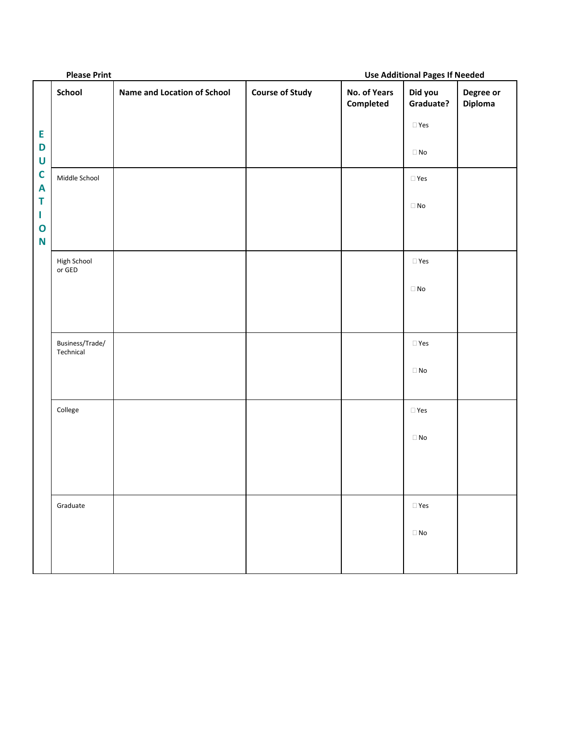|                                          | <b>Please Print</b>          |                                    | <b>Use Additional Pages If Needed</b> |                           |                      |                      |
|------------------------------------------|------------------------------|------------------------------------|---------------------------------------|---------------------------|----------------------|----------------------|
|                                          | School                       | <b>Name and Location of School</b> | <b>Course of Study</b>                | No. of Years<br>Completed | Did you<br>Graduate? | Degree or<br>Diploma |
| E                                        |                              |                                    |                                       |                           | $\Box$ Yes           |                      |
| D<br>$\mathsf U$                         |                              |                                    |                                       |                           | $\Box$ No            |                      |
| $\mathbf C$<br>$\boldsymbol{\mathsf{A}}$ | Middle School                |                                    |                                       |                           | $\square$ Yes        |                      |
| T<br>L                                   |                              |                                    |                                       |                           | $\Box$ No            |                      |
| $\mathbf 0$<br>N                         |                              |                                    |                                       |                           |                      |                      |
|                                          | High School<br>or GED        |                                    |                                       |                           | $\square$ Yes        |                      |
|                                          |                              |                                    |                                       |                           | $\Box$ No            |                      |
|                                          |                              |                                    |                                       |                           |                      |                      |
|                                          | Business/Trade/<br>Technical |                                    |                                       |                           | $\Box$ Yes           |                      |
|                                          |                              |                                    |                                       |                           | $\Box$ No            |                      |
|                                          |                              |                                    |                                       |                           |                      |                      |
|                                          | College                      |                                    |                                       |                           | $\Box$ Yes           |                      |
|                                          |                              |                                    |                                       |                           | $\Box$ No            |                      |
|                                          |                              |                                    |                                       |                           |                      |                      |
|                                          |                              |                                    |                                       |                           |                      |                      |
|                                          | Graduate                     |                                    |                                       |                           | $\Box$ Yes           |                      |
|                                          |                              |                                    |                                       |                           | $\Box$ No            |                      |
|                                          |                              |                                    |                                       |                           |                      |                      |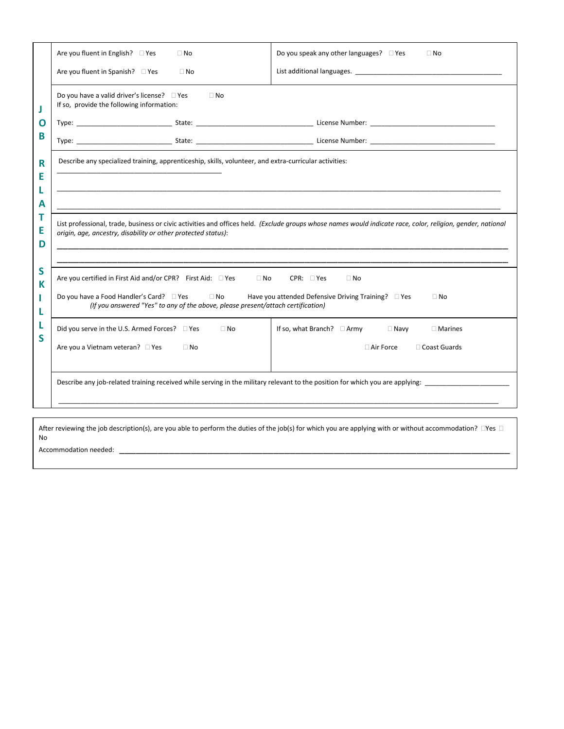|             | Are you fluent in English? $\Box$ Yes<br>Do you speak any other languages? $\Box$ Yes<br>$\Box$ No<br>$\Box$ No<br>Are you fluent in Spanish? □ Yes<br>List additional languages. The same of the state of the state of the state of the state of the state of the state of the state of the state of the state of the state of the state of the state of the state of the state of t<br>$\Box$ No |                                                                                                       |  |  |  |  |  |
|-------------|----------------------------------------------------------------------------------------------------------------------------------------------------------------------------------------------------------------------------------------------------------------------------------------------------------------------------------------------------------------------------------------------------|-------------------------------------------------------------------------------------------------------|--|--|--|--|--|
|             |                                                                                                                                                                                                                                                                                                                                                                                                    | Do you have a valid driver's license? □ Yes<br>$\Box$ No<br>If so, provide the following information: |  |  |  |  |  |
| O           |                                                                                                                                                                                                                                                                                                                                                                                                    |                                                                                                       |  |  |  |  |  |
| В           |                                                                                                                                                                                                                                                                                                                                                                                                    |                                                                                                       |  |  |  |  |  |
| R<br>Е      | Describe any specialized training, apprenticeship, skills, volunteer, and extra-curricular activities:                                                                                                                                                                                                                                                                                             |                                                                                                       |  |  |  |  |  |
| А           |                                                                                                                                                                                                                                                                                                                                                                                                    |                                                                                                       |  |  |  |  |  |
| т<br>E<br>D | List professional, trade, business or civic activities and offices held. (Exclude groups whose names would indicate race, color, religion, gender, national<br>origin, age, ancestry, disability or other protected status):                                                                                                                                                                       |                                                                                                       |  |  |  |  |  |
| S<br>К      | Are you certified in First Aid and/or CPR? First Aid: □ Yes<br>$CPR: \square Yes$<br>$\Box$ No<br>$\Box$ No<br>Do you have a Food Handler's Card? □ Yes □ No<br>Have you attended Defensive Driving Training? $\Box$ Yes<br>$\Box$ No<br>(If you answered "Yes" to any of the above, please present/attach certification)                                                                          |                                                                                                       |  |  |  |  |  |
| S           | If so, what Branch? □ Army □ Navy<br>Did you serve in the U.S. Armed Forces? □ Yes<br>$\Box$ No<br>$\Box$ Marines<br>Are you a Vietnam veteran? □ Yes<br>$\Box$ No<br>$\Box$ Air Force<br>□ Coast Guards                                                                                                                                                                                           |                                                                                                       |  |  |  |  |  |
|             | Describe any job-related training received while serving in the military relevant to the position for which you are applying:                                                                                                                                                                                                                                                                      |                                                                                                       |  |  |  |  |  |
|             |                                                                                                                                                                                                                                                                                                                                                                                                    |                                                                                                       |  |  |  |  |  |

After reviewing the job description(s), are you able to perform the duties of the job(s) for which you are applying with or without accommodation?  $\Box$ Yes  $\Box$ No

Accommodation needed: \_\_\_\_\_\_\_\_\_\_\_\_\_\_\_\_\_\_\_\_\_\_\_\_\_\_\_\_\_\_\_\_\_\_\_\_\_\_\_\_\_\_\_\_\_\_\_\_\_\_\_\_\_\_\_\_\_\_\_\_\_\_\_\_\_\_\_\_\_\_\_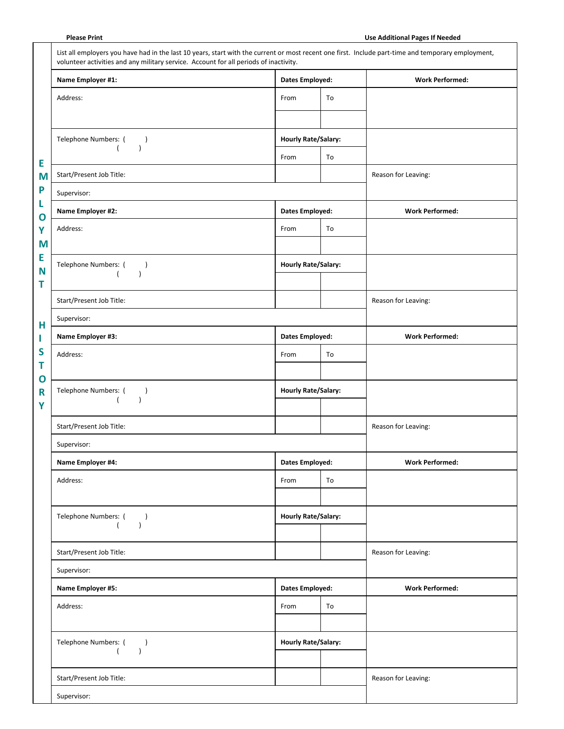| Name Employer #1:                     | <b>Dates Employed:</b>     |                        | <b>Work Performed:</b> |
|---------------------------------------|----------------------------|------------------------|------------------------|
| Address:                              | From                       | To                     |                        |
| Telephone Numbers: (<br>$\lambda$     | <b>Hourly Rate/Salary:</b> |                        |                        |
| $\lambda$                             | From                       | To                     |                        |
| Start/Present Job Title:              |                            |                        | Reason for Leaving:    |
| Supervisor:                           |                            |                        |                        |
| Name Employer #2:                     | <b>Dates Employed:</b>     |                        | <b>Work Performed:</b> |
| Address:                              | From                       | To                     |                        |
|                                       |                            |                        |                        |
| Telephone Numbers: (<br>$\lambda$     | <b>Hourly Rate/Salary:</b> |                        |                        |
| $\overline{ }$<br>$\lambda$           |                            |                        |                        |
| Start/Present Job Title:              |                            |                        | Reason for Leaving:    |
| Supervisor:                           |                            |                        |                        |
| Name Employer #3:                     |                            | <b>Dates Employed:</b> |                        |
| Address:                              | From                       | To                     |                        |
|                                       |                            |                        |                        |
| Telephone Numbers: (<br>$\lambda$     | <b>Hourly Rate/Salary:</b> |                        |                        |
| $\lambda$                             |                            |                        |                        |
| Start/Present Job Title:              |                            |                        | Reason for Leaving:    |
| Supervisor:                           |                            |                        |                        |
| Name Employer #4:                     | <b>Dates Employed:</b>     |                        | <b>Work Performed:</b> |
| Address:                              | From                       | To                     |                        |
|                                       |                            |                        |                        |
| Telephone Numbers: (<br>$\lambda$     | <b>Hourly Rate/Salary:</b> |                        |                        |
| $\left($<br>$\lambda$                 |                            |                        |                        |
| Start/Present Job Title:              |                            |                        | Reason for Leaving:    |
| Supervisor:                           |                            |                        |                        |
| Name Employer #5:                     | <b>Dates Employed:</b>     |                        | <b>Work Performed:</b> |
| Address:                              | From                       | To                     |                        |
|                                       |                            |                        |                        |
| Telephone Numbers: (<br>$\rightarrow$ | <b>Hourly Rate/Salary:</b> |                        |                        |
| $\lambda$<br>$\left($                 |                            |                        |                        |
|                                       |                            |                        |                        |

**Please Print Use Additional Pages If Needed**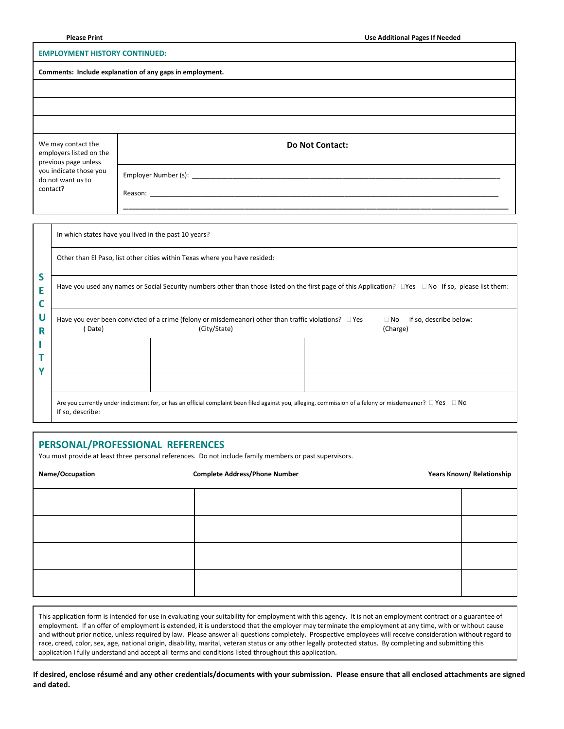#### **EMPLOYMENT HISTORY CONTINUED:**

| Comments: Include explanation of any gaps in employment.              |                        |  |  |  |
|-----------------------------------------------------------------------|------------------------|--|--|--|
|                                                                       |                        |  |  |  |
|                                                                       |                        |  |  |  |
|                                                                       |                        |  |  |  |
| We may contact the<br>employers listed on the<br>previous page unless | <b>Do Not Contact:</b> |  |  |  |
| you indicate those you<br>do not want us to<br>contact?               |                        |  |  |  |

|                  |                                                                                                                                                                 | In which states have you lived in the past 10 years?                                                                                                               |  |                                                 |  |
|------------------|-----------------------------------------------------------------------------------------------------------------------------------------------------------------|--------------------------------------------------------------------------------------------------------------------------------------------------------------------|--|-------------------------------------------------|--|
| S<br>E<br>U<br>R | Other than El Paso, list other cities within Texas where you have resided:                                                                                      |                                                                                                                                                                    |  |                                                 |  |
|                  | Have you used any names or Social Security numbers other than those listed on the first page of this Application? $\Box$ Yes $\Box$ No If so, please list them: |                                                                                                                                                                    |  |                                                 |  |
|                  | Have you ever been convicted of a crime (felony or misdemeanor) other than traffic violations? $\square$ Yes<br>(City/State)<br>Date)                           |                                                                                                                                                                    |  | If so, describe below:<br>$\Box$ No<br>(Charge) |  |
|                  |                                                                                                                                                                 |                                                                                                                                                                    |  |                                                 |  |
| v                |                                                                                                                                                                 |                                                                                                                                                                    |  |                                                 |  |
|                  |                                                                                                                                                                 |                                                                                                                                                                    |  |                                                 |  |
|                  | If so, describe:                                                                                                                                                | Are you currently under indictment for, or has an official complaint been filed against you, alleging, commission of a felony or misdemeanor? $\Box$ Yes $\Box$ No |  |                                                 |  |

#### **PERSONAL/PROFESSIONAL REFERENCES**

You must provide at least three personal references. Do not include family members or past supervisors.

Name/Occupation **Complete Address/Phone Number 1996** Mame/Occupation **Years Known/ Relationship Complete Address/Phone Number** 

This application form is intended for use in evaluating your suitability for employment with this agency. It is not an employment contract or a guarantee of employment. If an offer of employment is extended, it is understood that the employer may terminate the employment at any time, with or without cause and without prior notice, unless required by law. Please answer all questions completely. Prospective employees will receive consideration without regard to race, creed, color, sex, age, national origin, disability, marital, veteran status or any other legally protected status. By completing and submitting this application I fully understand and accept all terms and conditions listed throughout this application.

**If desired, enclose résumé and any other credentials/documents with your submission. Please ensure that all enclosed attachments are signed and dated.**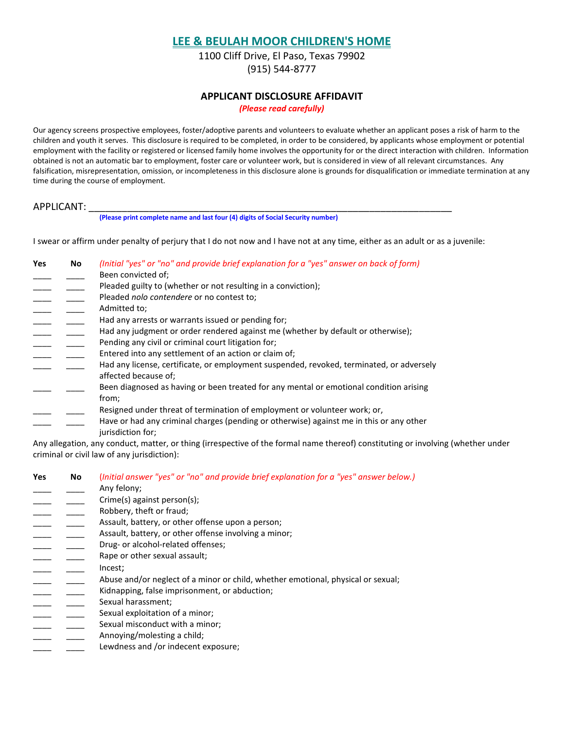1100 Cliff Drive, El Paso, Texas 79902 (915) 544-8777

#### **APPLICANT DISCLOSURE AFFIDAVIT**

*(Please read carefully)*

Our agency screens prospective employees, foster/adoptive parents and volunteers to evaluate whether an applicant poses a risk of harm to the children and youth it serves. This disclosure is required to be completed, in order to be considered, by applicants whose employment or potential employment with the facility or registered or licensed family home involves the opportunity for or the direct interaction with children. Information obtained is not an automatic bar to employment, foster care or volunteer work, but is considered in view of all relevant circumstances. Any falsification, misrepresentation, omission, or incompleteness in this disclosure alone is grounds for disqualification or immediate termination at any time during the course of employment.

#### APPLICANT:

**(Please print complete name and last four (4) digits of Social Security number)**

I swear or affirm under penalty of perjury that I do not now and I have not at any time, either as an adult or as a juvenile:

| <b>Yes</b> | No | (Initial "yes" or "no" and provide brief explanation for a "yes" answer on back of form) |
|------------|----|------------------------------------------------------------------------------------------|
|            |    | Been convicted of:                                                                       |
|            |    | Pleaded guilty to (whether or not resulting in a conviction);                            |
|            |    | Pleaded nolo contendere or no contest to;                                                |
|            |    | Admitted to:                                                                             |
|            |    | Had any arrests or warrants issued or pending for;                                       |
|            |    | Had any judgment or order rendered against me (whether by default or otherwise);         |
|            |    | Pending any civil or criminal court litigation for:                                      |
|            |    | Entered into any settlement of an action or claim of;                                    |
|            |    | Had any license, certificate, or employment suspended, revoked, terminated, or adversely |
|            |    | affected because of:                                                                     |
|            |    | Been diagnosed as having or been treated for any mental or emotional condition arising   |
|            |    | from;                                                                                    |
|            |    | Resigned under threat of termination of employment or volunteer work; or,                |
|            |    | Have or had any criminal charges (pending or otherwise) against me in this or any other  |
|            |    | jurisdiction for:                                                                        |

Any allegation, any conduct, matter, or thing (irrespective of the formal name thereof) constituting or involving (whether under criminal or civil law of any jurisdiction):

| <b>Yes</b> | No | (Initial answer "yes" or "no" and provide brief explanation for a "yes" answer below.) |
|------------|----|----------------------------------------------------------------------------------------|
|            |    | Any felony;                                                                            |
|            |    | Crime(s) against person(s);                                                            |
|            |    | Robbery, theft or fraud;                                                               |
|            |    | Assault, battery, or other offense upon a person;                                      |
|            |    | Assault, battery, or other offense involving a minor;                                  |
|            |    | Drug- or alcohol-related offenses;                                                     |
|            |    | Rape or other sexual assault;                                                          |
|            |    | Incest;                                                                                |
|            |    | Abuse and/or neglect of a minor or child, whether emotional, physical or sexual;       |
|            |    | Kidnapping, false imprisonment, or abduction;                                          |
|            |    | Sexual harassment;                                                                     |
|            |    | Sexual exploitation of a minor;                                                        |
|            |    | Sexual misconduct with a minor;                                                        |
|            |    | Annoving/molesting a child;                                                            |
|            |    | Lewdness and /or indecent exposure;                                                    |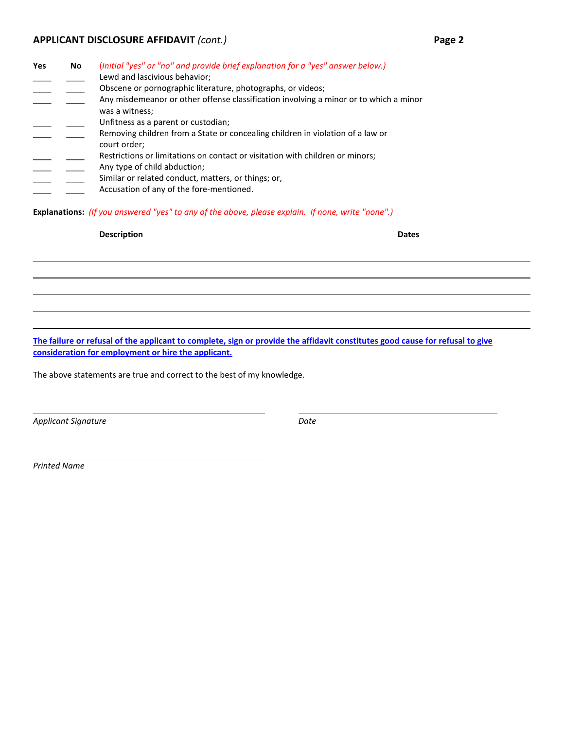## **APPLICANT DISCLOSURE AFFIDAVIT** *(cont.)* **Page 2**

| Yes | No | (Initial "yes" or "no" and provide brief explanation for a "yes" answer below.)                |
|-----|----|------------------------------------------------------------------------------------------------|
|     |    | Lewd and lascivious behavior;                                                                  |
|     |    | Obscene or pornographic literature, photographs, or videos;                                    |
|     |    | Any misdemeanor or other offense classification involving a minor or to which a minor          |
|     |    | was a witness;                                                                                 |
|     |    | Unfitness as a parent or custodian;                                                            |
|     |    | Removing children from a State or concealing children in violation of a law or<br>court order; |
|     |    | Restrictions or limitations on contact or visitation with children or minors;                  |
|     |    |                                                                                                |
|     |    | Any type of child abduction;                                                                   |
|     |    | Similar or related conduct, matters, or things; or,                                            |
|     |    | Accusation of any of the fore-mentioned.                                                       |
|     |    |                                                                                                |

**Explanations:** *(If you answered "yes" to any of the above, please explain. If none, write "none".)*

#### **Description Dates**

**The failure or refusal of the applicant to complete, sign or provide the affidavit constitutes good cause for refusal to give consideration for employment or hire the applicant.**

The above statements are true and correct to the best of my knowledge.

*Applicant Signature Date*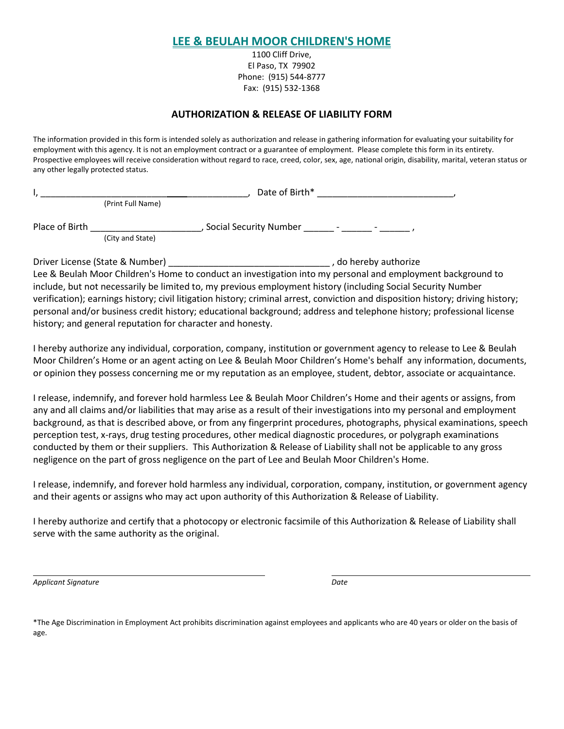1100 Cliff Drive, El Paso, TX 79902 Phone: (915) 544-8777 Fax: (915) 532-1368

## **AUTHORIZATION & RELEASE OF LIABILITY FORM**

The information provided in this form is intended solely as authorization and release in gathering information for evaluating your suitability for employment with this agency. It is not an employment contract or a guarantee of employment. Please complete this form in its entirety. Prospective employees will receive consideration without regard to race, creed, color, sex, age, national origin, disability, marital, veteran status or any other legally protected status.

| Date of Birth* |                   |                                                                                |
|----------------|-------------------|--------------------------------------------------------------------------------|
|                | (Print Full Name) |                                                                                |
| Place of Birth | (City and State)  | Social Security Number<br>$\overline{\phantom{0}}$<br>$\overline{\phantom{0}}$ |

Driver License (State & Number) \_\_\_\_\_\_\_\_\_\_\_\_\_\_\_\_\_\_\_\_\_\_\_\_\_\_\_\_\_\_\_\_ , do hereby authorize Lee & Beulah Moor Children's Home to conduct an investigation into my personal and employment background to include, but not necessarily be limited to, my previous employment history (including Social Security Number verification); earnings history; civil litigation history; criminal arrest, conviction and disposition history; driving history; personal and/or business credit history; educational background; address and telephone history; professional license history; and general reputation for character and honesty.

I hereby authorize any individual, corporation, company, institution or government agency to release to Lee & Beulah Moor Children's Home or an agent acting on Lee & Beulah Moor Children's Home's behalf any information, documents, or opinion they possess concerning me or my reputation as an employee, student, debtor, associate or acquaintance.

I release, indemnify, and forever hold harmless Lee & Beulah Moor Children's Home and their agents or assigns, from any and all claims and/or liabilities that may arise as a result of their investigations into my personal and employment background, as that is described above, or from any fingerprint procedures, photographs, physical examinations, speech perception test, x-rays, drug testing procedures, other medical diagnostic procedures, or polygraph examinations conducted by them or their suppliers. This Authorization & Release of Liability shall not be applicable to any gross negligence on the part of gross negligence on the part of Lee and Beulah Moor Children's Home.

I release, indemnify, and forever hold harmless any individual, corporation, company, institution, or government agency and their agents or assigns who may act upon authority of this Authorization & Release of Liability.

I hereby authorize and certify that a photocopy or electronic facsimile of this Authorization & Release of Liability shall serve with the same authority as the original.

*Applicant Signature Date*

\*The Age Discrimination in Employment Act prohibits discrimination against employees and applicants who are 40 years or older on the basis of age.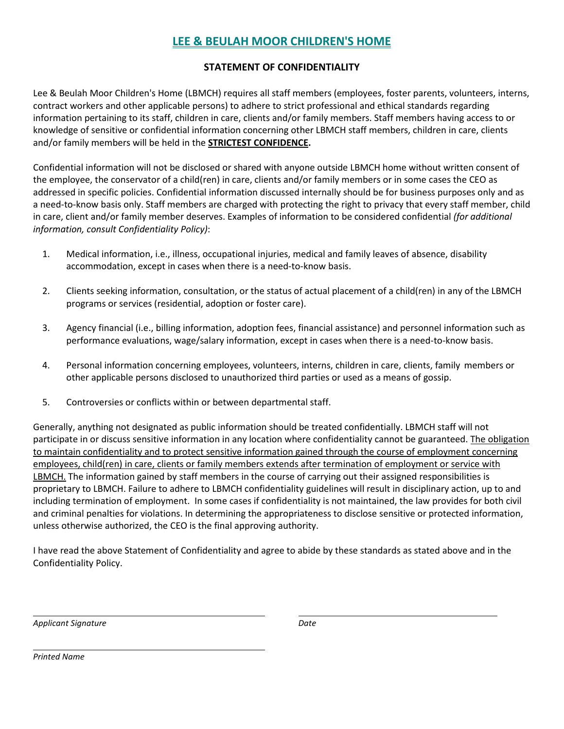## **STATEMENT OF CONFIDENTIALITY**

Lee & Beulah Moor Children's Home (LBMCH) requires all staff members (employees, foster parents, volunteers, interns, contract workers and other applicable persons) to adhere to strict professional and ethical standards regarding information pertaining to its staff, children in care, clients and/or family members. Staff members having access to or knowledge of sensitive or confidential information concerning other LBMCH staff members, children in care, clients and/or family members will be held in the **STRICTEST CONFIDENCE.** 

Confidential information will not be disclosed or shared with anyone outside LBMCH home without written consent of the employee, the conservator of a child(ren) in care, clients and/or family members or in some cases the CEO as addressed in specific policies. Confidential information discussed internally should be for business purposes only and as a need-to-know basis only. Staff members are charged with protecting the right to privacy that every staff member, child in care, client and/or family member deserves. Examples of information to be considered confidential *(for additional information, consult Confidentiality Policy)*:

- 1. Medical information, i.e., illness, occupational injuries, medical and family leaves of absence, disability accommodation, except in cases when there is a need-to-know basis.
- 2. Clients seeking information, consultation, or the status of actual placement of a child(ren) in any of the LBMCH programs or services (residential, adoption or foster care).
- 3. Agency financial (i.e., billing information, adoption fees, financial assistance) and personnel information such as performance evaluations, wage/salary information, except in cases when there is a need-to-know basis.
- 4. Personal information concerning employees, volunteers, interns, children in care, clients, family members or other applicable persons disclosed to unauthorized third parties or used as a means of gossip.
- 5. Controversies or conflicts within or between departmental staff.

Generally, anything not designated as public information should be treated confidentially. LBMCH staff will not participate in or discuss sensitive information in any location where confidentiality cannot be guaranteed. The obligation to maintain confidentiality and to protect sensitive information gained through the course of employment concerning employees, child(ren) in care, clients or family members extends after termination of employment or service with LBMCH. The information gained by staff members in the course of carrying out their assigned responsibilities is proprietary to LBMCH. Failure to adhere to LBMCH confidentiality guidelines will result in disciplinary action, up to and including termination of employment. In some cases if confidentiality is not maintained, the law provides for both civil and criminal penalties for violations. In determining the appropriateness to disclose sensitive or protected information, unless otherwise authorized, the CEO is the final approving authority.

I have read the above Statement of Confidentiality and agree to abide by these standards as stated above and in the Confidentiality Policy.

*Applicant Signature Date*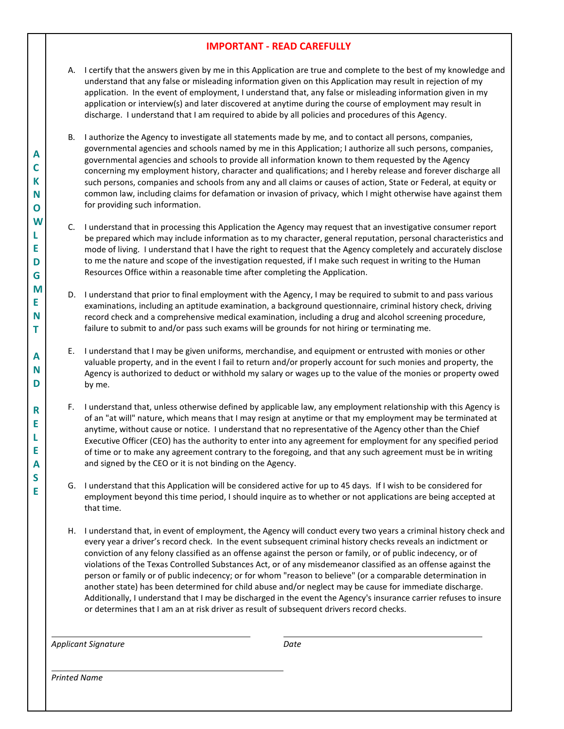## **IMPORTANT - READ CAREFULLY**

- A. I certify that the answers given by me in this Application are true and complete to the best of my knowledge and understand that any false or misleading information given on this Application may result in rejection of my application. In the event of employment, I understand that, any false or misleading information given in my application or interview(s) and later discovered at anytime during the course of employment may result in discharge. I understand that I am required to abide by all policies and procedures of this Agency.
- B. I authorize the Agency to investigate all statements made by me, and to contact all persons, companies, governmental agencies and schools named by me in this Application; I authorize all such persons, companies, governmental agencies and schools to provide all information known to them requested by the Agency concerning my employment history, character and qualifications; and I hereby release and forever discharge all such persons, companies and schools from any and all claims or causes of action, State or Federal, at equity or common law, including claims for defamation or invasion of privacy, which I might otherwise have against them for providing such information.
- C. I understand that in processing this Application the Agency may request that an investigative consumer report be prepared which may include information as to my character, general reputation, personal characteristics and mode of living. I understand that I have the right to request that the Agency completely and accurately disclose to me the nature and scope of the investigation requested, if I make such request in writing to the Human Resources Office within a reasonable time after completing the Application.
- D. I understand that prior to final employment with the Agency, I may be required to submit to and pass various examinations, including an aptitude examination, a background questionnaire, criminal history check, driving record check and a comprehensive medical examination, including a drug and alcohol screening procedure, failure to submit to and/or pass such exams will be grounds for not hiring or terminating me.
- E. I understand that I may be given uniforms, merchandise, and equipment or entrusted with monies or other valuable property, and in the event I fail to return and/or properly account for such monies and property, the Agency is authorized to deduct or withhold my salary or wages up to the value of the monies or property owed by me.
- F. I understand that, unless otherwise defined by applicable law, any employment relationship with this Agency is of an "at will" nature, which means that I may resign at anytime or that my employment may be terminated at anytime, without cause or notice. I understand that no representative of the Agency other than the Chief Executive Officer (CEO) has the authority to enter into any agreement for employment for any specified period of time or to make any agreement contrary to the foregoing, and that any such agreement must be in writing and signed by the CEO or it is not binding on the Agency.
- G. I understand that this Application will be considered active for up to 45 days. If I wish to be considered for employment beyond this time period, I should inquire as to whether or not applications are being accepted at that time.
- H. I understand that, in event of employment, the Agency will conduct every two years a criminal history check and every year a driver's record check. In the event subsequent criminal history checks reveals an indictment or conviction of any felony classified as an offense against the person or family, or of public indecency, or of violations of the Texas Controlled Substances Act, or of any misdemeanor classified as an offense against the person or family or of public indecency; or for whom "reason to believe" (or a comparable determination in another state) has been determined for child abuse and/or neglect may be cause for immediate discharge. Additionally, I understand that I may be discharged in the event the Agency's insurance carrier refuses to insure or determines that I am an at risk driver as result of subsequent drivers record checks.

*Applicant Signature Date*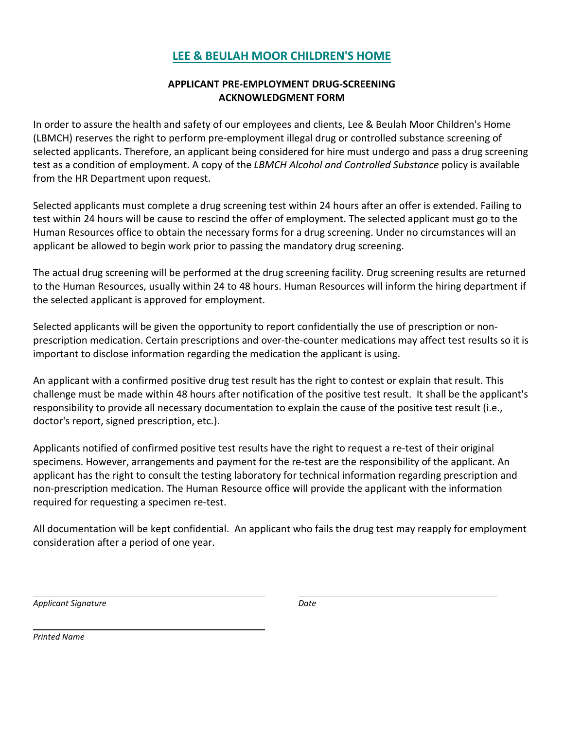## **APPLICANT PRE-EMPLOYMENT DRUG-SCREENING ACKNOWLEDGMENT FORM**

In order to assure the health and safety of our employees and clients, Lee & Beulah Moor Children's Home (LBMCH) reserves the right to perform pre-employment illegal drug or controlled substance screening of selected applicants. Therefore, an applicant being considered for hire must undergo and pass a drug screening test as a condition of employment. A copy of the *LBMCH Alcohol and Controlled Substance* policy is available from the HR Department upon request.

Selected applicants must complete a drug screening test within 24 hours after an offer is extended. Failing to test within 24 hours will be cause to rescind the offer of employment. The selected applicant must go to the Human Resources office to obtain the necessary forms for a drug screening. Under no circumstances will an applicant be allowed to begin work prior to passing the mandatory drug screening.

The actual drug screening will be performed at the drug screening facility. Drug screening results are returned to the Human Resources, usually within 24 to 48 hours. Human Resources will inform the hiring department if the selected applicant is approved for employment.

Selected applicants will be given the opportunity to report confidentially the use of prescription or nonprescription medication. Certain prescriptions and over-the-counter medications may affect test results so it is important to disclose information regarding the medication the applicant is using.

An applicant with a confirmed positive drug test result has the right to contest or explain that result. This challenge must be made within 48 hours after notification of the positive test result. It shall be the applicant's responsibility to provide all necessary documentation to explain the cause of the positive test result (i.e., doctor's report, signed prescription, etc.).

Applicants notified of confirmed positive test results have the right to request a re-test of their original specimens. However, arrangements and payment for the re-test are the responsibility of the applicant. An applicant has the right to consult the testing laboratory for technical information regarding prescription and non-prescription medication. The Human Resource office will provide the applicant with the information required for requesting a specimen re-test.

All documentation will be kept confidential. An applicant who fails the drug test may reapply for employment consideration after a period of one year.

*Applicant Signature Date*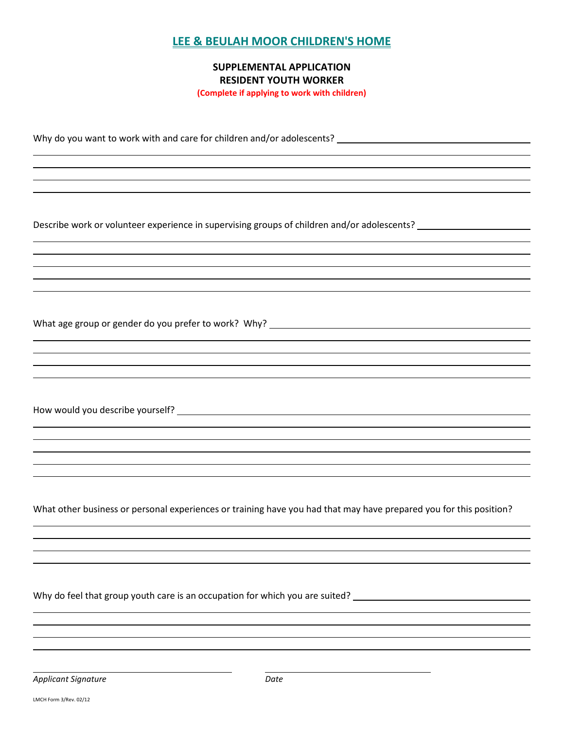## **SUPPLEMENTAL APPLICATION RESIDENT YOUTH WORKER**

**(Complete if applying to work with children)**

Why do you want to work with and care for children and/or adolescents?

Describe work or volunteer experience in supervising groups of children and/or adolescents?

What age group or gender do you prefer to work? Why? \_\_\_\_\_\_\_\_\_\_\_\_\_\_\_\_\_\_\_\_\_\_\_\_\_\_\_\_

How would you describe yourself?

What other business or personal experiences or training have you had that may have prepared you for this position?

Why do feel that group youth care is an occupation for which you are suited? \_\_\_\_\_\_\_\_\_\_\_\_\_\_\_\_\_\_\_\_\_\_\_\_\_\_\_\_\_\_\_\_\_

**Applicant Signature Date** Date

LMCH Form 3/Rev. 02/12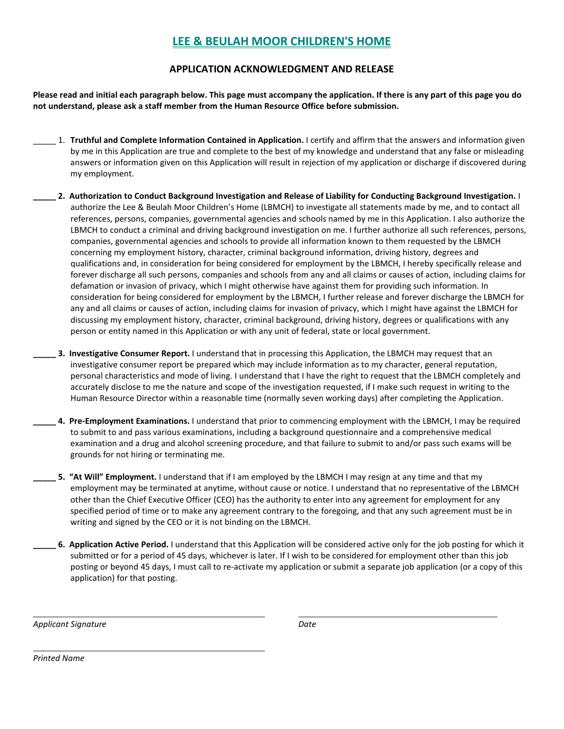#### **APPLICATION ACKNOWLEDGMENT AND RELEASE**

**Please read and initial each paragraph below. This page must accompany the application. If there is any part of this page you do not understand, please ask a staff member from the Human Resource Office before submission.** 

- \_\_\_\_\_ 1. **Truthful and Complete Information Contained in Application.** I certify and affirm that the answers and information given by me in this Application are true and complete to the best of my knowledge and understand that any false or misleading answers or information given on this Application will result in rejection of my application or discharge if discovered during my employment.
- **\_\_\_\_\_ 2. Authorization to Conduct Background Investigation and Release of Liability for Conducting Background Investigation.** I authorize the Lee & Beulah Moor Children's Home (LBMCH) to investigate all statements made by me, and to contact all references, persons, companies, governmental agencies and schools named by me in this Application. I also authorize the LBMCH to conduct a criminal and driving background investigation on me. I further authorize all such references, persons, companies, governmental agencies and schools to provide all information known to them requested by the LBMCH concerning my employment history, character, criminal background information, driving history, degrees and qualifications and, in consideration for being considered for employment by the LBMCH, I hereby specifically release and forever discharge all such persons, companies and schools from any and all claims or causes of action, including claims for defamation or invasion of privacy, which I might otherwise have against them for providing such information. In consideration for being considered for employment by the LBMCH, I further release and forever discharge the LBMCH for any and all claims or causes of action, including claims for invasion of privacy, which I might have against the LBMCH for discussing my employment history, character, criminal background, driving history, degrees or qualifications with any person or entity named in this Application or with any unit of federal, state or local government.
	- **3. Investigative Consumer Report.** I understand that in processing this Application, the LBMCH may request that an investigative consumer report be prepared which may include information as to my character, general reputation, personal characteristics and mode of living. I understand that I have the right to request that the LBMCH completely and accurately disclose to me the nature and scope of the investigation requested, if I make such request in writing to the Human Resource Director within a reasonable time (normally seven working days) after completing the Application.
- **\_\_\_\_\_ 4. Pre-Employment Examinations.** I understand that prior to commencing employment with the LBMCH, I may be required to submit to and pass various examinations, including a background questionnaire and a comprehensive medical examination and a drug and alcohol screening procedure, and that failure to submit to and/or pass such exams will be grounds for not hiring or terminating me.
- **\_\_\_\_\_ 5. "At Will" Employment.** I understand that if I am employed by the LBMCH I may resign at any time and that my employment may be terminated at anytime, without cause or notice. I understand that no representative of the LBMCH other than the Chief Executive Officer (CEO) has the authority to enter into any agreement for employment for any specified period of time or to make any agreement contrary to the foregoing, and that any such agreement must be in writing and signed by the CEO or it is not binding on the LBMCH.
- **\_\_\_\_\_ 6. Application Active Period.** I understand that this Application will be considered active only for the job posting for which it submitted or for a period of 45 days, whichever is later. If I wish to be considered for employment other than this job posting or beyond 45 days, I must call to re-activate my application or submit a separate job application (or a copy of this application) for that posting.

*Applicant Signature Date*